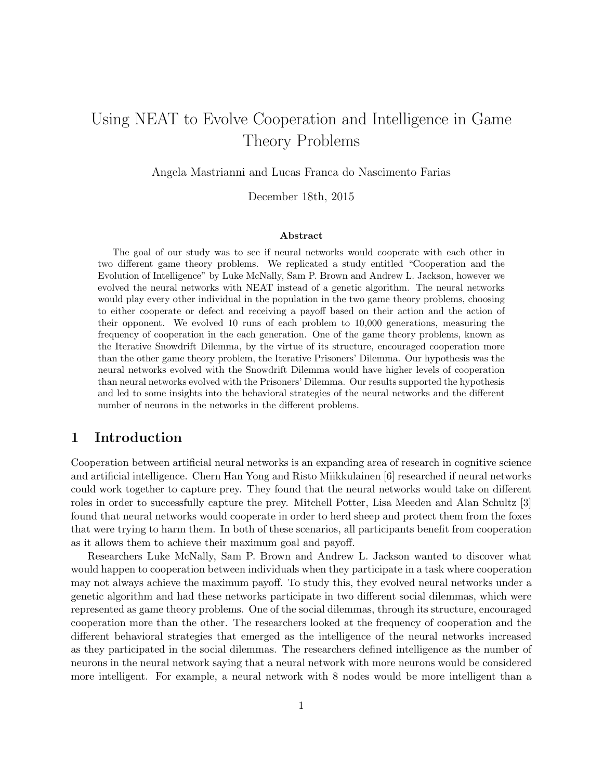# Using NEAT to Evolve Cooperation and Intelligence in Game Theory Problems

Angela Mastrianni and Lucas Franca do Nascimento Farias

December 18th, 2015

#### Abstract

The goal of our study was to see if neural networks would cooperate with each other in two different game theory problems. We replicated a study entitled "Cooperation and the Evolution of Intelligence" by Luke McNally, Sam P. Brown and Andrew L. Jackson, however we evolved the neural networks with NEAT instead of a genetic algorithm. The neural networks would play every other individual in the population in the two game theory problems, choosing to either cooperate or defect and receiving a payoff based on their action and the action of their opponent. We evolved 10 runs of each problem to 10,000 generations, measuring the frequency of cooperation in the each generation. One of the game theory problems, known as the Iterative Snowdrift Dilemma, by the virtue of its structure, encouraged cooperation more than the other game theory problem, the Iterative Prisoners' Dilemma. Our hypothesis was the neural networks evolved with the Snowdrift Dilemma would have higher levels of cooperation than neural networks evolved with the Prisoners' Dilemma. Our results supported the hypothesis and led to some insights into the behavioral strategies of the neural networks and the different number of neurons in the networks in the different problems.

## 1 Introduction

Cooperation between artificial neural networks is an expanding area of research in cognitive science and artificial intelligence. Chern Han Yong and Risto Miikkulainen [6] researched if neural networks could work together to capture prey. They found that the neural networks would take on different roles in order to successfully capture the prey. Mitchell Potter, Lisa Meeden and Alan Schultz [3] found that neural networks would cooperate in order to herd sheep and protect them from the foxes that were trying to harm them. In both of these scenarios, all participants benefit from cooperation as it allows them to achieve their maximum goal and payoff.

Researchers Luke McNally, Sam P. Brown and Andrew L. Jackson wanted to discover what would happen to cooperation between individuals when they participate in a task where cooperation may not always achieve the maximum payoff. To study this, they evolved neural networks under a genetic algorithm and had these networks participate in two different social dilemmas, which were represented as game theory problems. One of the social dilemmas, through its structure, encouraged cooperation more than the other. The researchers looked at the frequency of cooperation and the different behavioral strategies that emerged as the intelligence of the neural networks increased as they participated in the social dilemmas. The researchers defined intelligence as the number of neurons in the neural network saying that a neural network with more neurons would be considered more intelligent. For example, a neural network with 8 nodes would be more intelligent than a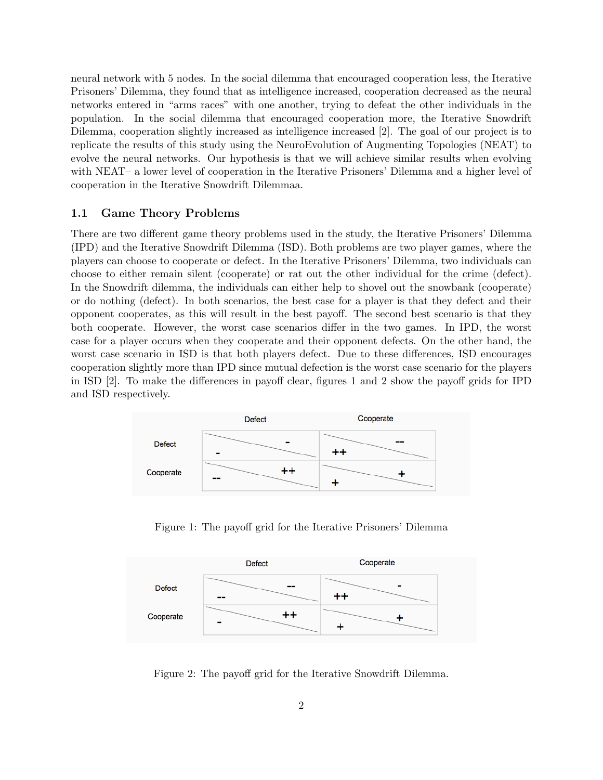neural network with 5 nodes. In the social dilemma that encouraged cooperation less, the Iterative Prisoners' Dilemma, they found that as intelligence increased, cooperation decreased as the neural networks entered in "arms races" with one another, trying to defeat the other individuals in the population. In the social dilemma that encouraged cooperation more, the Iterative Snowdrift Dilemma, cooperation slightly increased as intelligence increased [2]. The goal of our project is to replicate the results of this study using the NeuroEvolution of Augmenting Topologies (NEAT) to evolve the neural networks. Our hypothesis is that we will achieve similar results when evolving with NEAT– a lower level of cooperation in the Iterative Prisoners' Dilemma and a higher level of cooperation in the Iterative Snowdrift Dilemmaa.

#### 1.1 Game Theory Problems

There are two different game theory problems used in the study, the Iterative Prisoners' Dilemma (IPD) and the Iterative Snowdrift Dilemma (ISD). Both problems are two player games, where the players can choose to cooperate or defect. In the Iterative Prisoners' Dilemma, two individuals can choose to either remain silent (cooperate) or rat out the other individual for the crime (defect). In the Snowdrift dilemma, the individuals can either help to shovel out the snowbank (cooperate) or do nothing (defect). In both scenarios, the best case for a player is that they defect and their opponent cooperates, as this will result in the best payoff. The second best scenario is that they both cooperate. However, the worst case scenarios differ in the two games. In IPD, the worst case for a player occurs when they cooperate and their opponent defects. On the other hand, the worst case scenario in ISD is that both players defect. Due to these differences, ISD encourages cooperation slightly more than IPD since mutual defection is the worst case scenario for the players in ISD [2]. To make the differences in payoff clear, figures 1 and 2 show the payoff grids for IPD and ISD respectively.



Figure 1: The payoff grid for the Iterative Prisoners' Dilemma



Figure 2: The payoff grid for the Iterative Snowdrift Dilemma.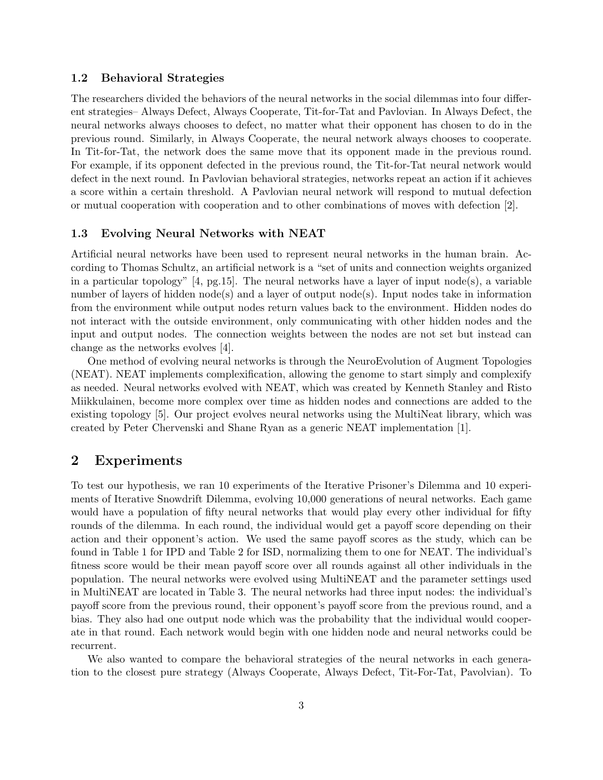#### 1.2 Behavioral Strategies

The researchers divided the behaviors of the neural networks in the social dilemmas into four different strategies– Always Defect, Always Cooperate, Tit-for-Tat and Pavlovian. In Always Defect, the neural networks always chooses to defect, no matter what their opponent has chosen to do in the previous round. Similarly, in Always Cooperate, the neural network always chooses to cooperate. In Tit-for-Tat, the network does the same move that its opponent made in the previous round. For example, if its opponent defected in the previous round, the Tit-for-Tat neural network would defect in the next round. In Pavlovian behavioral strategies, networks repeat an action if it achieves a score within a certain threshold. A Pavlovian neural network will respond to mutual defection or mutual cooperation with cooperation and to other combinations of moves with defection [2].

#### 1.3 Evolving Neural Networks with NEAT

Artificial neural networks have been used to represent neural networks in the human brain. According to Thomas Schultz, an artificial network is a "set of units and connection weights organized in a particular topology" [4, pg.15]. The neural networks have a layer of input node(s), a variable number of layers of hidden node(s) and a layer of output node(s). Input nodes take in information from the environment while output nodes return values back to the environment. Hidden nodes do not interact with the outside environment, only communicating with other hidden nodes and the input and output nodes. The connection weights between the nodes are not set but instead can change as the networks evolves [4].

One method of evolving neural networks is through the NeuroEvolution of Augment Topologies (NEAT). NEAT implements complexification, allowing the genome to start simply and complexify as needed. Neural networks evolved with NEAT, which was created by Kenneth Stanley and Risto Miikkulainen, become more complex over time as hidden nodes and connections are added to the existing topology [5]. Our project evolves neural networks using the MultiNeat library, which was created by Peter Chervenski and Shane Ryan as a generic NEAT implementation [1].

### 2 Experiments

To test our hypothesis, we ran 10 experiments of the Iterative Prisoner's Dilemma and 10 experiments of Iterative Snowdrift Dilemma, evolving 10,000 generations of neural networks. Each game would have a population of fifty neural networks that would play every other individual for fifty rounds of the dilemma. In each round, the individual would get a payoff score depending on their action and their opponent's action. We used the same payoff scores as the study, which can be found in Table 1 for IPD and Table 2 for ISD, normalizing them to one for NEAT. The individual's fitness score would be their mean payoff score over all rounds against all other individuals in the population. The neural networks were evolved using MultiNEAT and the parameter settings used in MultiNEAT are located in Table 3. The neural networks had three input nodes: the individual's payoff score from the previous round, their opponent's payoff score from the previous round, and a bias. They also had one output node which was the probability that the individual would cooperate in that round. Each network would begin with one hidden node and neural networks could be recurrent.

We also wanted to compare the behavioral strategies of the neural networks in each generation to the closest pure strategy (Always Cooperate, Always Defect, Tit-For-Tat, Pavolvian). To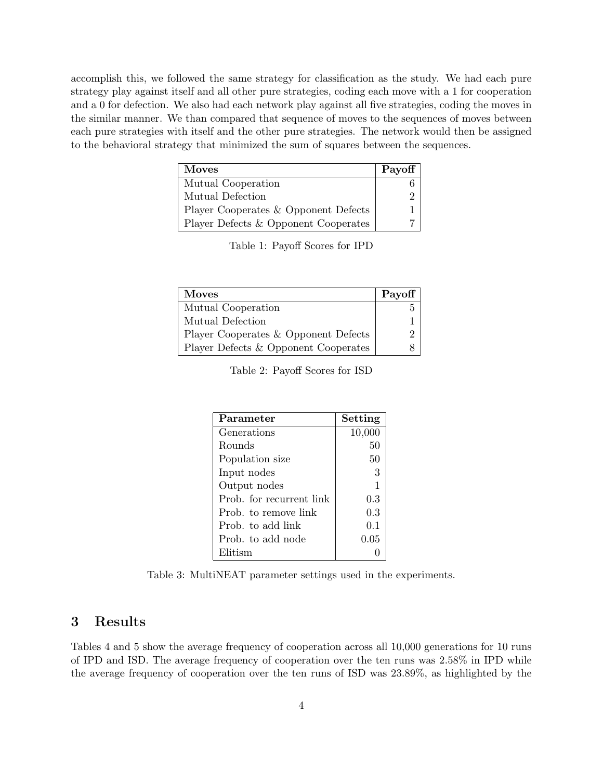accomplish this, we followed the same strategy for classification as the study. We had each pure strategy play against itself and all other pure strategies, coding each move with a 1 for cooperation and a 0 for defection. We also had each network play against all five strategies, coding the moves in the similar manner. We than compared that sequence of moves to the sequences of moves between each pure strategies with itself and the other pure strategies. The network would then be assigned to the behavioral strategy that minimized the sum of squares between the sequences.

| <b>Moves</b>                         | Payoff |
|--------------------------------------|--------|
| Mutual Cooperation                   |        |
| Mutual Defection                     |        |
| Player Cooperates & Opponent Defects |        |
| Player Defects & Opponent Cooperates |        |

Table 1: Payoff Scores for IPD

| <b>Moves</b>                         | Payoff |
|--------------------------------------|--------|
| Mutual Cooperation                   |        |
| Mutual Defection                     |        |
| Player Cooperates & Opponent Defects |        |
| Player Defects & Opponent Cooperates |        |

| Table 2: Payoff Scores for ISD |  |  |  |  |
|--------------------------------|--|--|--|--|
|--------------------------------|--|--|--|--|

| Parameter                | Setting |
|--------------------------|---------|
| Generations              | 10,000  |
| Rounds                   | 50      |
| Population size          | 50      |
| Input nodes              | 3       |
| Output nodes             |         |
| Prob. for recurrent link | 0.3     |
| Prob. to remove link     | 0.3     |
| Prob. to add link        | 0.1     |
| Prob. to add node        | 0.05    |
| Elitism                  |         |

Table 3: MultiNEAT parameter settings used in the experiments.

## 3 Results

Tables 4 and 5 show the average frequency of cooperation across all 10,000 generations for 10 runs of IPD and ISD. The average frequency of cooperation over the ten runs was 2.58% in IPD while the average frequency of cooperation over the ten runs of ISD was 23.89%, as highlighted by the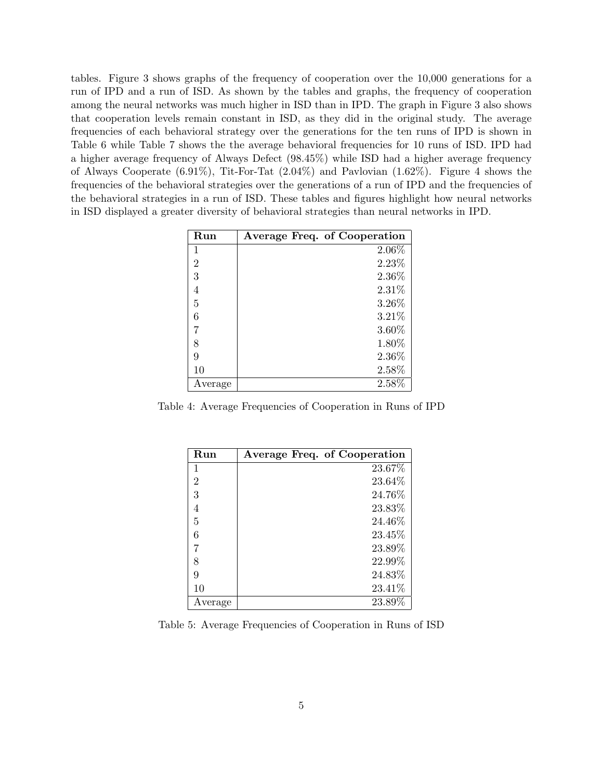tables. Figure 3 shows graphs of the frequency of cooperation over the 10,000 generations for a run of IPD and a run of ISD. As shown by the tables and graphs, the frequency of cooperation among the neural networks was much higher in ISD than in IPD. The graph in Figure 3 also shows that cooperation levels remain constant in ISD, as they did in the original study. The average frequencies of each behavioral strategy over the generations for the ten runs of IPD is shown in Table 6 while Table 7 shows the the average behavioral frequencies for 10 runs of ISD. IPD had a higher average frequency of Always Defect (98.45%) while ISD had a higher average frequency of Always Cooperate (6.91%), Tit-For-Tat (2.04%) and Pavlovian (1.62%). Figure 4 shows the frequencies of the behavioral strategies over the generations of a run of IPD and the frequencies of the behavioral strategies in a run of ISD. These tables and figures highlight how neural networks in ISD displayed a greater diversity of behavioral strategies than neural networks in IPD.

| Run            | Average Freq. of Cooperation |
|----------------|------------------------------|
| 1              | $2.06\%$                     |
| $\overline{2}$ | 2.23%                        |
| 3              | 2.36\%                       |
| 4              | 2.31\%                       |
| 5              | 3.26%                        |
| 6              | 3.21%                        |
| 7              | 3.60%                        |
| 8              | 1.80%                        |
| 9              | 2.36%                        |
| 10             | 2.58%                        |
| Average        | 2.58%                        |

Table 4: Average Frequencies of Cooperation in Runs of IPD

| Run            | Average Freq. of Cooperation |
|----------------|------------------------------|
| 1              | 23.67%                       |
| $\overline{2}$ | 23.64%                       |
| 3              | 24.76%                       |
| 4              | 23.83%                       |
| 5              | 24.46%                       |
| 6              | 23.45%                       |
| 7              | 23.89%                       |
| 8              | 22.99%                       |
| 9              | 24.83%                       |
| 10             | 23.41\%                      |
| Average        | 23.89%                       |

Table 5: Average Frequencies of Cooperation in Runs of ISD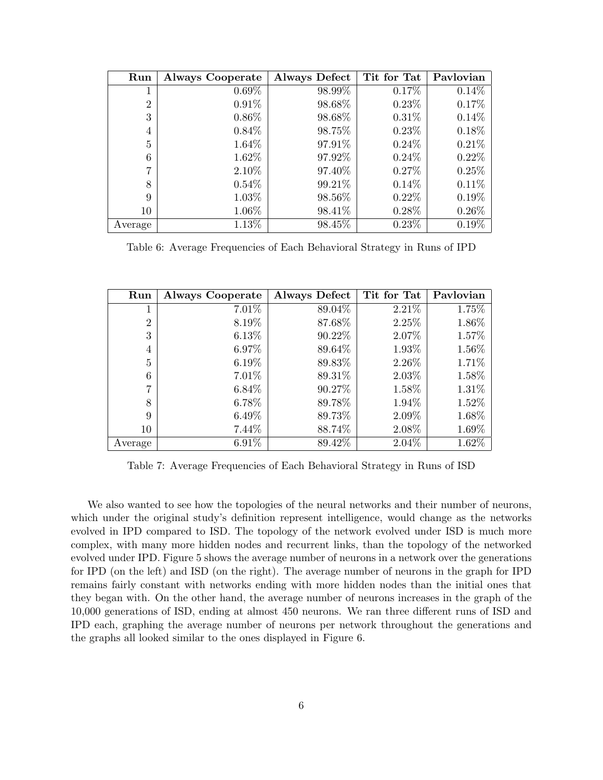| Run            | <b>Always Cooperate</b> | <b>Always Defect</b> | Tit for Tat | Pavlovian |
|----------------|-------------------------|----------------------|-------------|-----------|
| 1              | $0.69\%$                | 98.99%               | 0.17%       | $0.14\%$  |
| $\overline{2}$ | $0.91\%$                | 98.68%               | $0.23\%$    | 0.17%     |
| 3              | $0.86\%$                | 98.68%               | $0.31\%$    | 0.14%     |
| 4              | $0.84\%$                | 98.75%               | $0.23\%$    | 0.18%     |
| 5              | 1.64%                   | 97.91%               | $0.24\%$    | 0.21%     |
| 6              | 1.62%                   | 97.92%               | $0.24\%$    | $0.22\%$  |
| 7              | 2.10%                   | 97.40%               | 0.27%       | 0.25%     |
| 8              | $0.54\%$                | 99.21%               | 0.14%       | 0.11%     |
| 9              | 1.03%                   | 98.56%               | $0.22\%$    | $0.19\%$  |
| 10             | $1.06\%$                | 98.41%               | $0.28\%$    | $0.26\%$  |
| Average        | $1.13\%$                | 98.45%               | 0.23%       | $0.19\%$  |

Table 6: Average Frequencies of Each Behavioral Strategy in Runs of IPD

| Run            | <b>Always Cooperate</b> | Always Defect | Tit for Tat | Pavlovian |
|----------------|-------------------------|---------------|-------------|-----------|
| 1              | 7.01%                   | 89.04%        | 2.21\%      | 1.75%     |
| $\overline{2}$ | 8.19%                   | 87.68%        | 2.25%       | 1.86%     |
| 3              | $6.13\%$                | 90.22\%       | 2.07%       | 1.57%     |
| $\overline{4}$ | $6.97\%$                | 89.64%        | 1.93%       | 1.56%     |
| 5              | $6.19\%$                | 89.83%        | 2.26%       | 1.71%     |
| 6              | 7.01%                   | 89.31%        | 2.03%       | 1.58%     |
| 7              | $6.84\%$                | 90.27\%       | 1.58%       | 1.31%     |
| 8              | $6.78\%$                | 89.78%        | 1.94%       | 1.52%     |
| 9              | $6.49\%$                | 89.73%        | 2.09%       | 1.68%     |
| 10             | 7.44\%                  | 88.74%        | 2.08%       | 1.69%     |
| Average        | 6.91%                   | 89.42%        | 2.04%       | 1.62%     |

Table 7: Average Frequencies of Each Behavioral Strategy in Runs of ISD

We also wanted to see how the topologies of the neural networks and their number of neurons, which under the original study's definition represent intelligence, would change as the networks evolved in IPD compared to ISD. The topology of the network evolved under ISD is much more complex, with many more hidden nodes and recurrent links, than the topology of the networked evolved under IPD. Figure 5 shows the average number of neurons in a network over the generations for IPD (on the left) and ISD (on the right). The average number of neurons in the graph for IPD remains fairly constant with networks ending with more hidden nodes than the initial ones that they began with. On the other hand, the average number of neurons increases in the graph of the 10,000 generations of ISD, ending at almost 450 neurons. We ran three different runs of ISD and IPD each, graphing the average number of neurons per network throughout the generations and the graphs all looked similar to the ones displayed in Figure 6.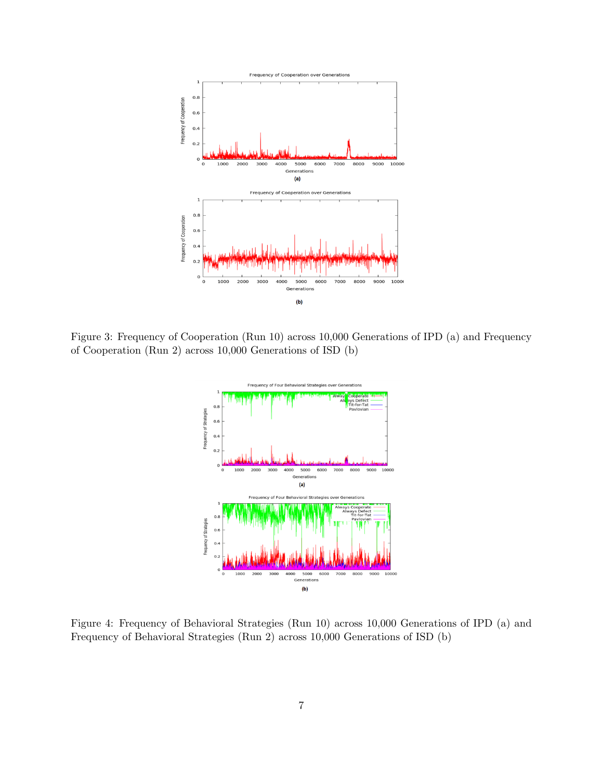

Figure 3: Frequency of Cooperation (Run 10) across 10,000 Generations of IPD (a) and Frequency of Cooperation (Run 2) across 10,000 Generations of ISD (b)



Figure 4: Frequency of Behavioral Strategies (Run 10) across 10,000 Generations of IPD (a) and Frequency of Behavioral Strategies (Run 2) across 10,000 Generations of ISD (b)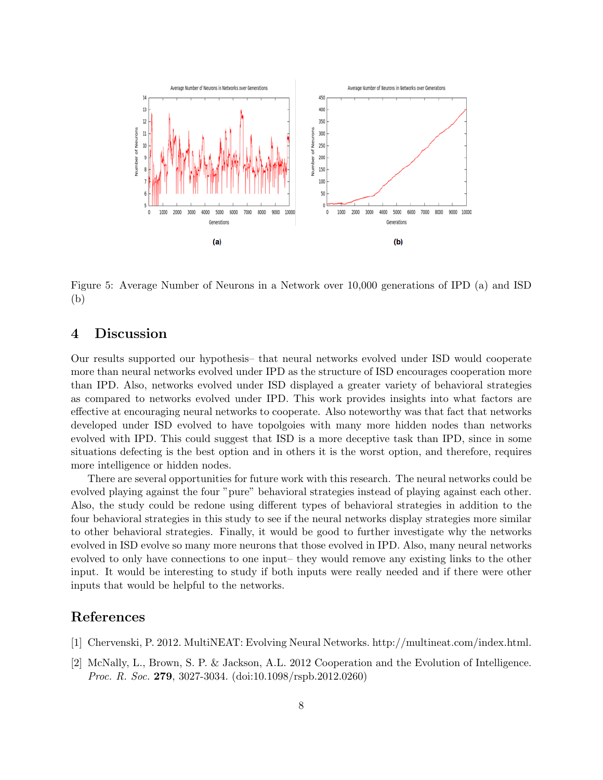

Figure 5: Average Number of Neurons in a Network over 10,000 generations of IPD (a) and ISD (b)

## 4 Discussion

Our results supported our hypothesis– that neural networks evolved under ISD would cooperate more than neural networks evolved under IPD as the structure of ISD encourages cooperation more than IPD. Also, networks evolved under ISD displayed a greater variety of behavioral strategies as compared to networks evolved under IPD. This work provides insights into what factors are effective at encouraging neural networks to cooperate. Also noteworthy was that fact that networks developed under ISD evolved to have topolgoies with many more hidden nodes than networks evolved with IPD. This could suggest that ISD is a more deceptive task than IPD, since in some situations defecting is the best option and in others it is the worst option, and therefore, requires more intelligence or hidden nodes.

There are several opportunities for future work with this research. The neural networks could be evolved playing against the four "pure" behavioral strategies instead of playing against each other. Also, the study could be redone using different types of behavioral strategies in addition to the four behavioral strategies in this study to see if the neural networks display strategies more similar to other behavioral strategies. Finally, it would be good to further investigate why the networks evolved in ISD evolve so many more neurons that those evolved in IPD. Also, many neural networks evolved to only have connections to one input– they would remove any existing links to the other input. It would be interesting to study if both inputs were really needed and if there were other inputs that would be helpful to the networks.

# References

- [1] Chervenski, P. 2012. MultiNEAT: Evolving Neural Networks. http://multineat.com/index.html.
- [2] McNally, L., Brown, S. P. & Jackson, A.L. 2012 Cooperation and the Evolution of Intelligence. Proc. R. Soc. 279, 3027-3034. (doi:10.1098/rspb.2012.0260)